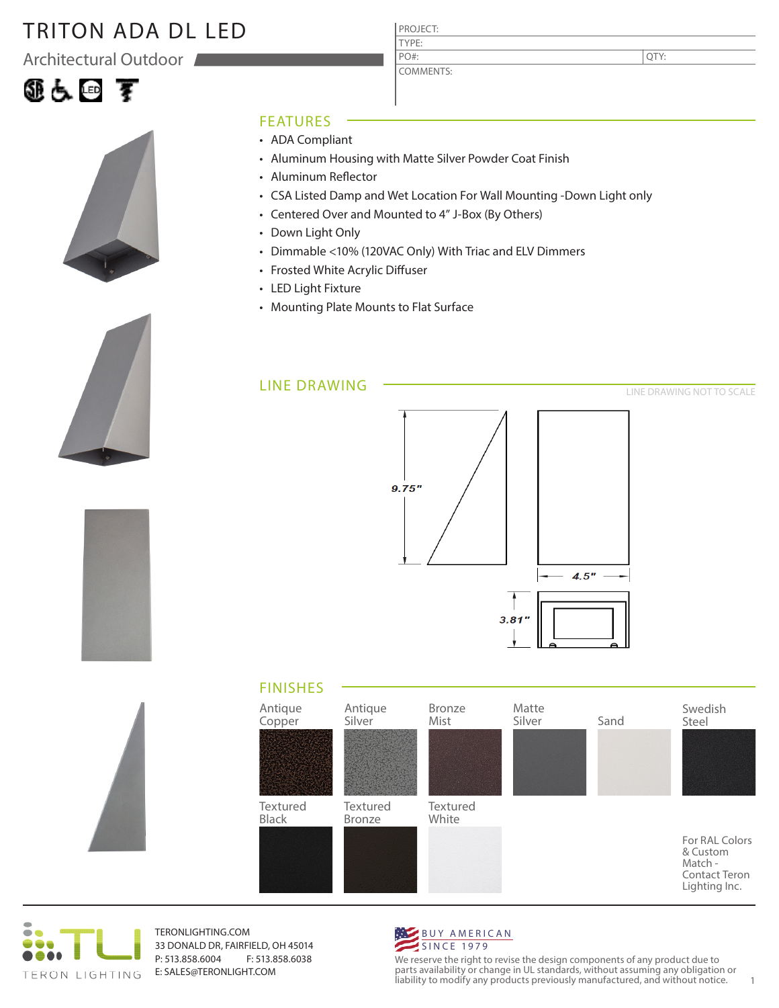### TRITON ADA DL LED

Architectural Outdoor

# 组占回 军







### FEATURES

- ADA Compliant
- Aluminum Housing with Matte Silver Powder Coat Finish

PROJECT: TYPE:

PO#:

COMMENTS:

- Aluminum Reflector
- CSA Listed Damp and Wet Location For Wall Mounting -Down Light only
- Centered Over and Mounted to 4" J-Box (By Others)
- Down Light Only
- Dimmable <10% (120VAC Only) With Triac and ELV Dimmers
- Frosted White Acrylic Diffuser
- LED Light Fixture
- Mounting Plate Mounts to Flat Surface

#### LINE DRAWING



### FINISHES





TERONLIGHTING.COM 33 DONALD DR, FAIRFIELD, OH 45014 P: 513.858.6004 F: 513.858.6038 E: SALES@TERONLIGHT.COM



We reserve the right to revise the design components of any product due to parts availability or change in UL standards, without assuming any obligation or liability to modify any products previously manufactured, and without notice. 1

QTY: